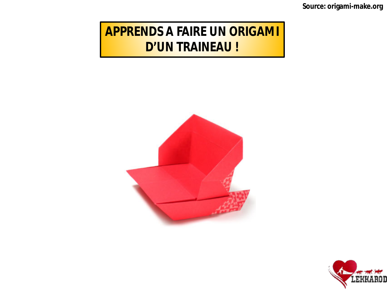Source: origami-make.org

### **APPRENDS A FAIRE UN ORIGAMI D'UN TRAINEAU!**



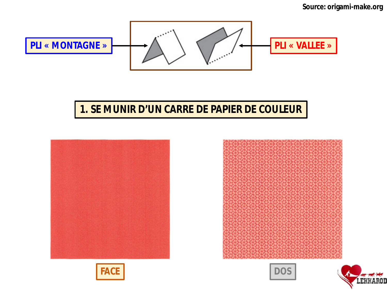

### **1. SE MUNIR D'UN CARRE DE PAPIER DE COULEUR**









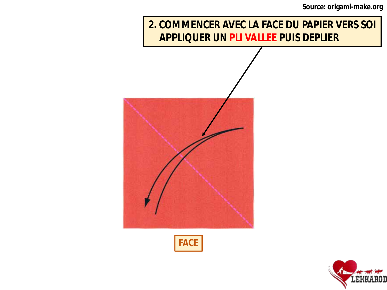**Source: origami-make.org**

### **2. COMMENCER AVEC LA FACE DU PAPIER VERS SOI APPLIQUER UN PLI VALLEE PUIS DEPLIER**





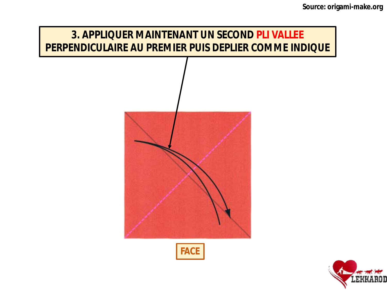## **3. APPLIQUER MAINTENANT UN SECOND PLI VALLEE PERPENDICULAIRE AU PREMIER PUIS DEPLIER COMME INDIQUE**



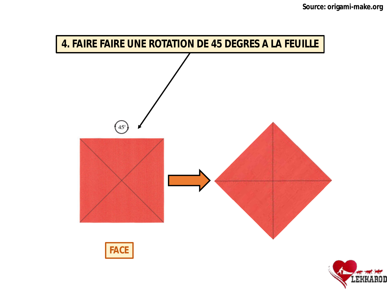

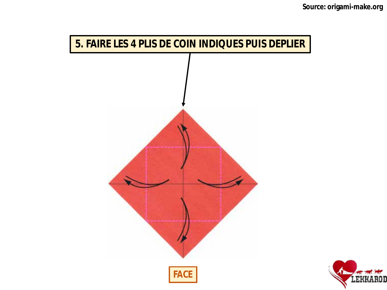

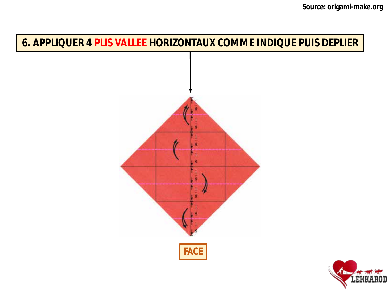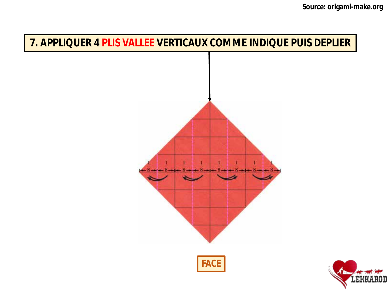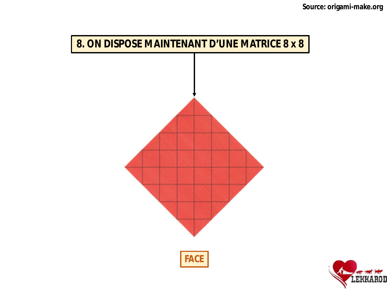

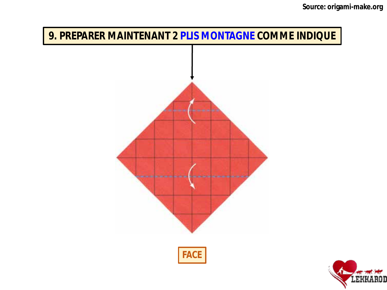

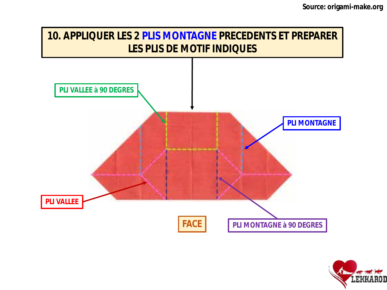

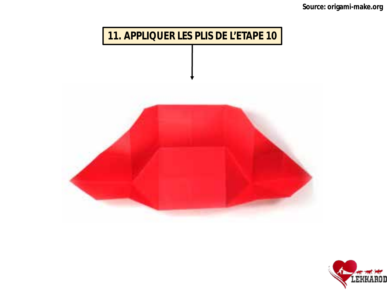

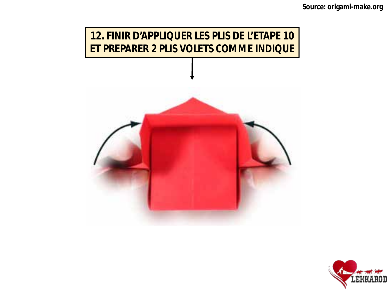

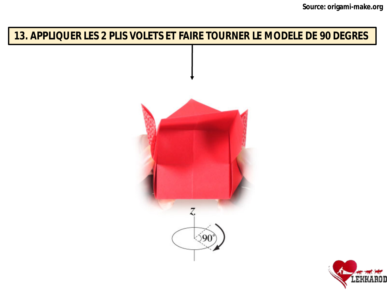### 13. APPLIQUER LES 2 PLIS VOLETS ET FAIRE TOURNER LE MODELE DE 90 DEGRES



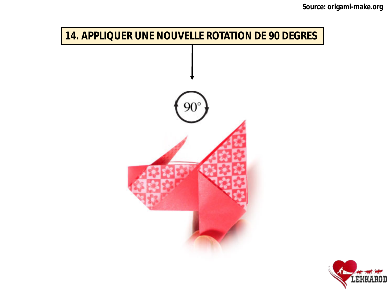

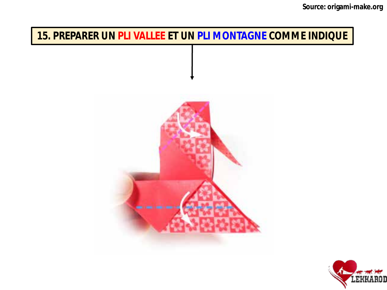### **15. PREPARER UN PLI VALLEE ET UN PLI MONTAGNE COMME INDIQUE**



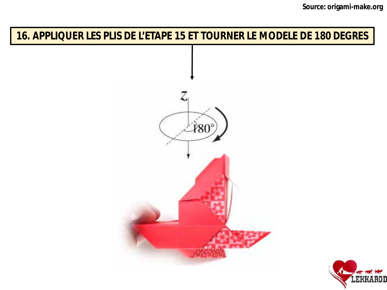### **16. APPLIQUER LES PLIS DE L'ETAPE 15 ET TOURNER LE MODELE DE 180 DEGRES**



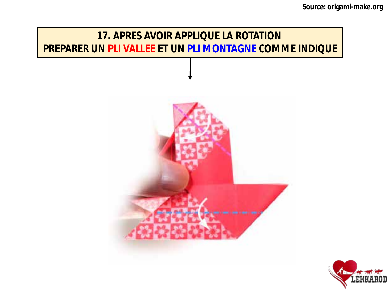# **17. APRES AVOIR APPLIQUE LA ROTATION PREPARER UN PLI VALLEE ET UN PLI MONTAGNE COMME INDIQUE**

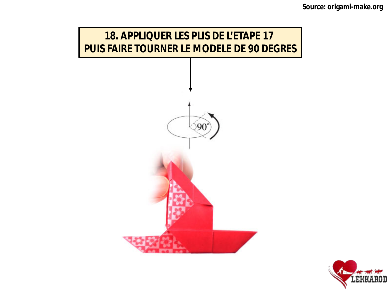

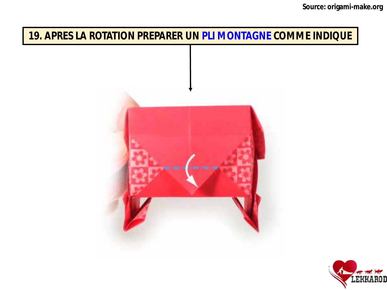### **19. APRES LA ROTATION PREPARER UN PLI MONTAGNE COMME INDIQUE**



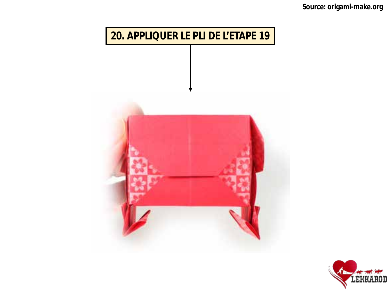